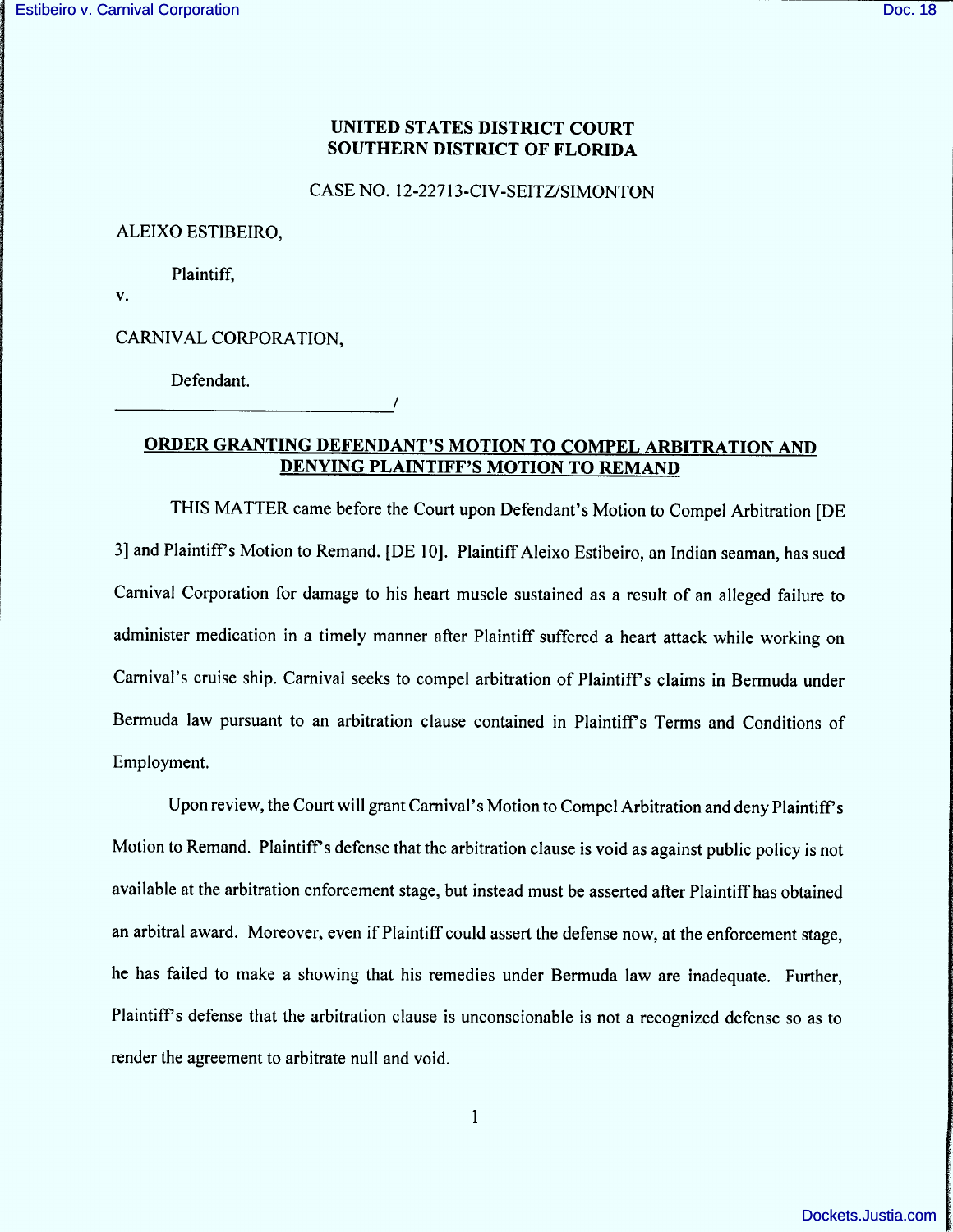## UNITED STATES DISTRICT COURT SOUTHERN DISTRICT OF FLORIDA

CASE NO. 12-22713-CIV-SEITZ/SIMONTON

ALEIXO ESTIBEIRO,

Plaintiff,

 $V_{\bullet}$ 

CARNIVAL CORPORATION,

Defendant.

# ORDER GRANTING DEFENDANT'S MOTION TO COMPEL ARBITRATION AND DENYING PLAINTIFF'S MOTION TO REMAND

/

THIS MATTER came before the Court upon Defendant's Motion to Compel Arbitration [DE 3] and Plaintiff's Motion to Remand. [DE 10]. Plaintiff Aleixo Estibeiro, an Indian seaman, has sued Carnival Corporation for damage to his heart muscle sustained as a result of an alleged failure to administer medication in a timely manner after Plaintiff suffered a heart attack while working on Carnival's cruise ship. Carnival seeks to compel arbitration of Plaintiff's claims in Bermuda under Bermuda law pursuant to an arbitration clause contained in Plaintiff's Terms and Conditions of Employment.

Upon review, the Court will grant Carnival's Motion to Compel Arbitration and deny Plaintiff's Motion to Remand. Plaintiff's defense that the arbitration clause is void as against public policy is not available at the arbitration enforcement stage, but instead must be asserted after Plaintiff has obtained an arbitral award. Moreover, even if Plaintiff could assert the defense now, at the enforcement stage, he has failed to make a showing that his remedies under Bermuda law are inadequate. Further, Plaintiff's defense that the arbitration clause is unconscionable is not a recognized defense so as to render the agreement to arbitrate null and void.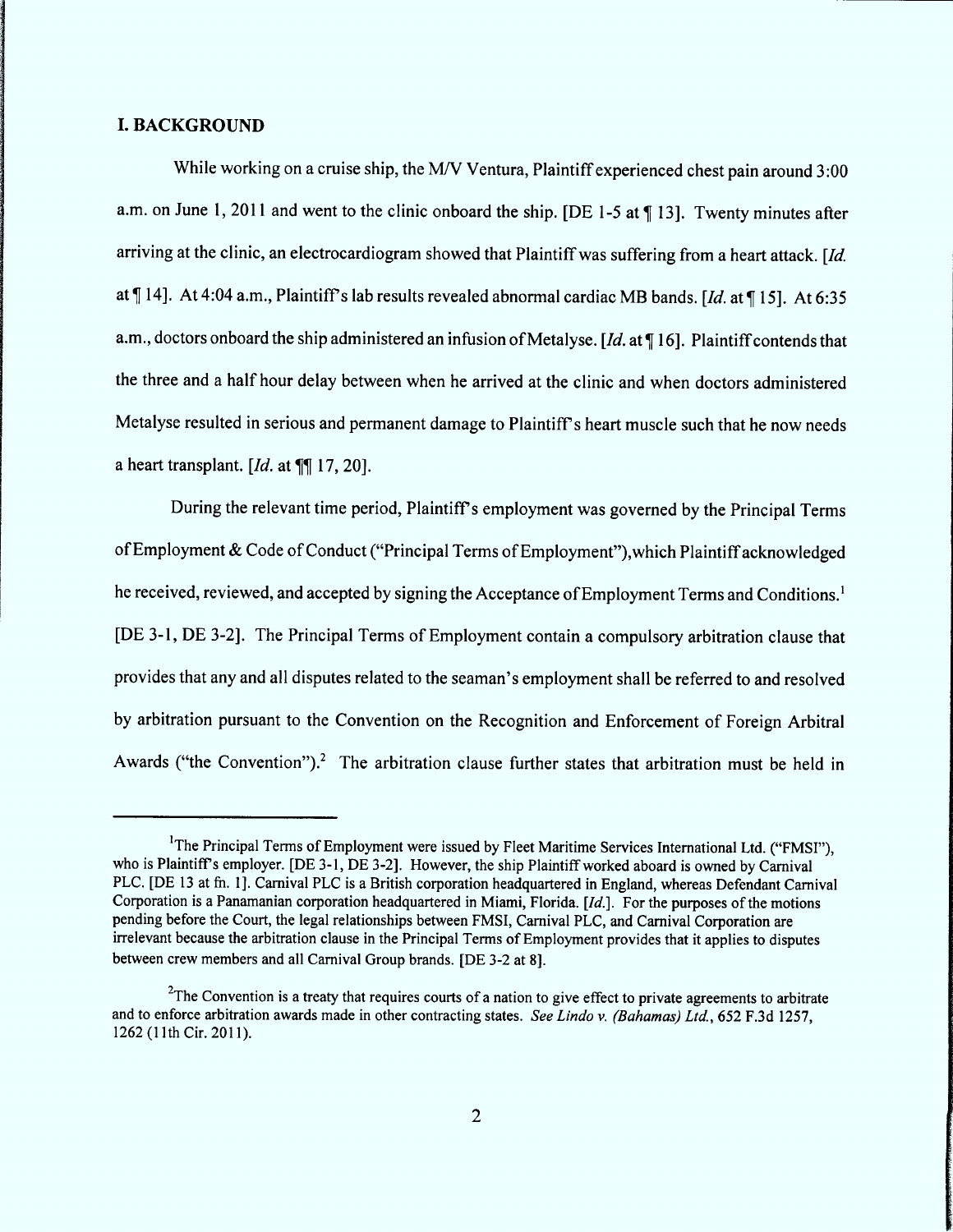#### L BACK GROUND

While working on a cruise ship, the M/V Ventura, Plaintiff experienced chest pain around 3:00 a.m. on June 1, 2011 and went to the clinic onboard the ship. [DE 1-5 at  $\P$  13]. Twenty minutes after arriving at the clinic, an electrocardiogram showed that Plaintiff was suffering from a heart attack. [ $\text{Id.}$ at  $\P$  14]. At 4:04 a.m., Plaintiff's lab results revealed abnormal cardiac MB bands. [Id. at  $\P$  15]. At 6:35 a.m., doctors onboard the ship administered an infusion of Metalyse. [Id. at  $\P$  16]. Plaintiff contends that the three and a half hour delay between when he arrived at the clinic and when doctors administered Metalyse resulted in serious and permanent damage to Plaintiff's heart muscle such that he now needs a heart transplant.  $Id$ , at  $\P\P$  17, 201.

During the relevant time period, Plaintiff's employment was governed by the Principal Terms of Employment & Code of Conduct ("Principal Terms of Employment"), which Plaintiff acknowledged he received, reviewed, and accepted by signing the Acceptance of Employment Terms and Conditions.<sup>1</sup> (DE 3-l , DE 3-2). The Principal Terms of Employment contain a compulsory arbitration clause that provides that any and all disputes related to the seaman's employment shall be referred to and resolved by arbitration pursuant to the Convention on the Recognition and Enforcement of Foreign Arbitral Awards ("the Convention").<sup>2</sup> The arbitration clause further states that arbitration must be held in

<sup>&</sup>lt;sup>1</sup>The Principal Terms of Employment were issued by Fleet Maritime Services International Ltd. ("FMSI"), who is Plaintiff's employer. [DE 3-1, DE 3-2]. However, the ship Plaintiff worked aboard is owned by Carnival PLC. [DE 13 at fn. 1]. Carnival PLC is a British corporation headquartered in England, whereas Defendant Carnival Corporation is a Panamanian corporation headquartered in Miami, Florida.  $Id.$ . For the purposes of the motions pending before the Court, the legal relationships between FMSI, Carnival PLC, and Carnival Corporation are irrelevant because the arbitration clause in the Principal Terms of Employment provides that it applies to disputes between crew members and all Carnival Group brands. (DE 3-2 at 8).

<sup>&</sup>lt;sup>2</sup>The Convention is a treaty that requires courts of a nation to give effect to private agreements to arbitrate and to enforce arbitration awards made in other contracting states. See Lindo v. (Bahamas) Ltd., 652 F.3d 1257, 1262 (11th Cir. 2011).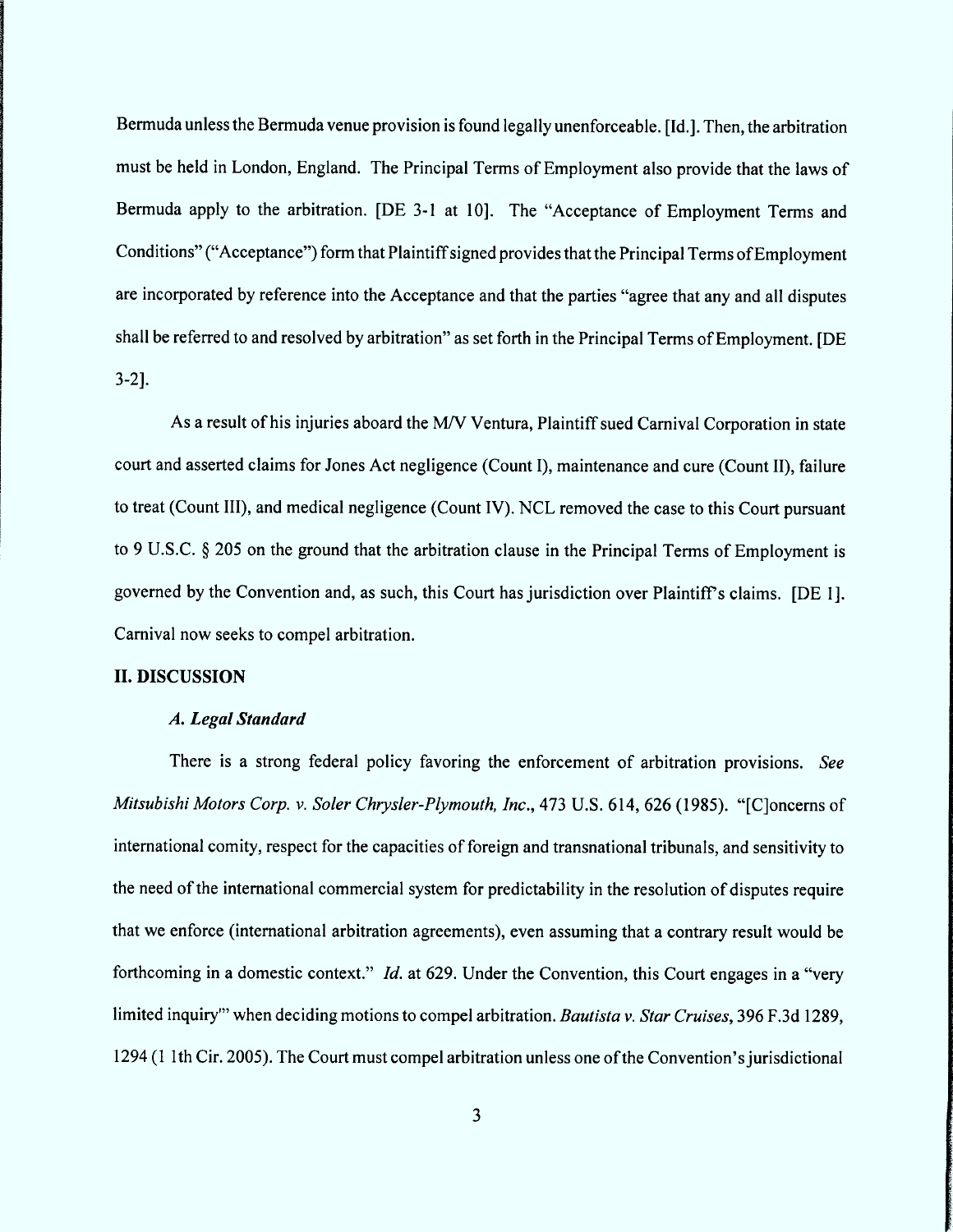Bermuda unless the Bermuda venue provision is found legally unenforceable. [Id.]. Then, the arbitration must be held in London, England. The Principal Terms of Employment also provide that the laws of Bermuda apply to the arbitration. [DE 3-1 at 10]. The "Acceptance of Employment Terms and Conditions" ("Acceptance") form that Plaintiff signed provides that the Principal Terms of Employment are incorporated by reference into the Acceptance and that the parties "agree that any and all disputes shall be referred to and resolved by arbitration'' as set forth in the Principal Terms of Employment. (DE 3-2J.

As a result of his injuries aboard the M/V Ventura, Plaintiff sued Carnival Corporation in state court and asserted claims for Jones Act negligence (Count l), maintenance and cure (Count 11), failure to treat (Count 111), and medical negligence (Count 1V). NCL removed the case to this Court pursuant to 9 U.S.C. § 205 on the ground that the arbitration clause in the Principal Terms of Employment is governed by the Convention and, as such, this Court has jurisdiction over Plaintiff's claims. [DE 1]. Carnival now seeks to compel arbitration.

#### II. DISCUSSION

## A. Legal Standard

There is a strong federal policy favoring the enforcement of arbitration provisions. See Mitsubishi Motors Corp. v. Soler Chrysler-Plymouth, Inc., 473 U.S. 614, 626 (1985). "[C]oncerns of international comity, respect for the capacities of foreign and transnational tribunals, and sensitivity to the need of the international commercial system for predictability in the resolution of disputes require that we enforce (intemational arbitration agreements), even assuming that a contrary result would be forthcoming in a domestic context." *Id.* at 629. Under the Convention, this Court engages in a "very limited inquiry"' when deciding motions to compel arbitration. Bautista v. Star Cruises, 396 F.3d 1289, 1294 (1 lth Cir. 2005). The Court must compel arbitration unless one of the Convention'sjurisdictional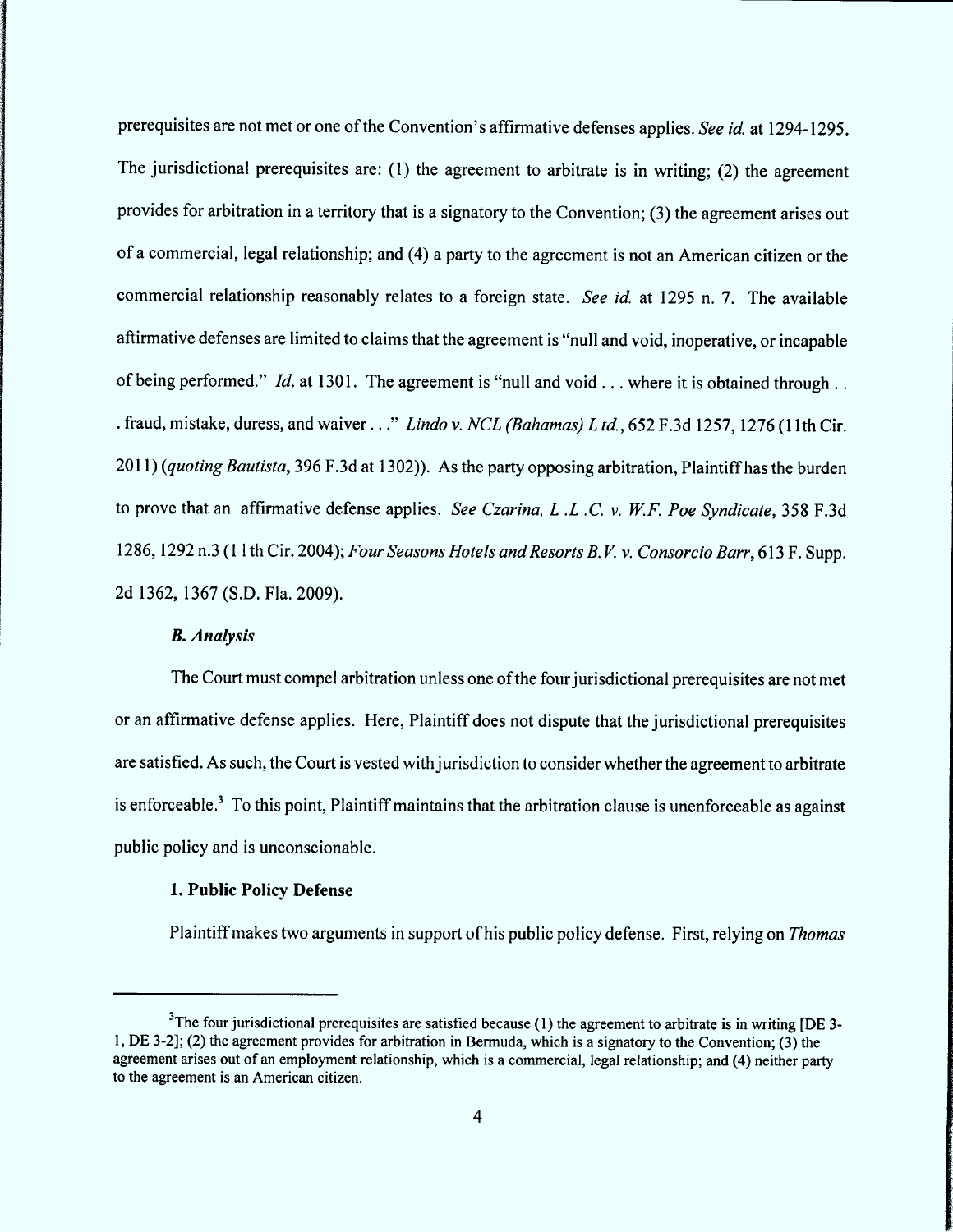prerequisites are not met or one of the Convention's affirmative defenses applies. See id. at 1294-1295. The jurisdictional prerequisites are: (1) the agreement to arbitrate is in writing; (2) the agreement provides for arbitration in a territory that is a signatory to the Convention; (3) the agreement arises out of a commercial, legal relationship; and (4) a party to the agreement is not an American citizen or the commercial relationship reasonably relates to a foreign state. See id. at 1295 n. 7. The available aftirmative defenses are limited to claims that the agreement is "null and void, inoperative, or incapable of being performed." *Id.* at 1301. The agreement is "null and void . . . where it is obtained through . . . fraud, mistake, duress, and waiver ..." Lindo v. NCL (Bahamas) L td., 652 F.3d 1257, 1276 (11th Cir.  $2011$ ) (quoting Bautista, 396 F.3d at 1302)). As the party opposing arbitration, Plaintiff has the burden to prove that an affirmative defense applies. See Czarina, L.L.C. v. W.F. Poe Syndicate, 358 F.3d 1286, 1292 n.3 (11th Cir. 2004); Four Seasons Hotels and Resorts B.V. v. Consorcio Barr, 613 F. Supp. 2d 1362, 1367 (S.D. Fla. 2009).

## **B.** Analysis

The Court must compel arbitration unless one of the four jurisdictional prerequisites are not met or an affirmative defense applies. Here, Plaintiff does not dispute that the jurisdictional prerequisites are satisfied. As such, the Court is vested with jurisdiction to consider whether the agreement to arbitrate is enforceable.<sup>3</sup> To this point, Plaintiff maintains that the arbitration clause is unenforceable as against public policy and is unconscionable.

# 1. Public Policy Defense

Plaintiff makes two arguments in support of his public policy defense. First, relying on Thomas

 $3$ The four jurisdictional prerequisites are satisfied because (1) the agreement to arbitrate is in writing [DE 3-1, DE 3-21; (2) the areement provides for arbitration in Bermuda, which is a signatory to the Convention', (3) the agreement arises out of an employment relationship, which is a commercial, legal relationship; and (4) neither party to the agreement is an American citizen.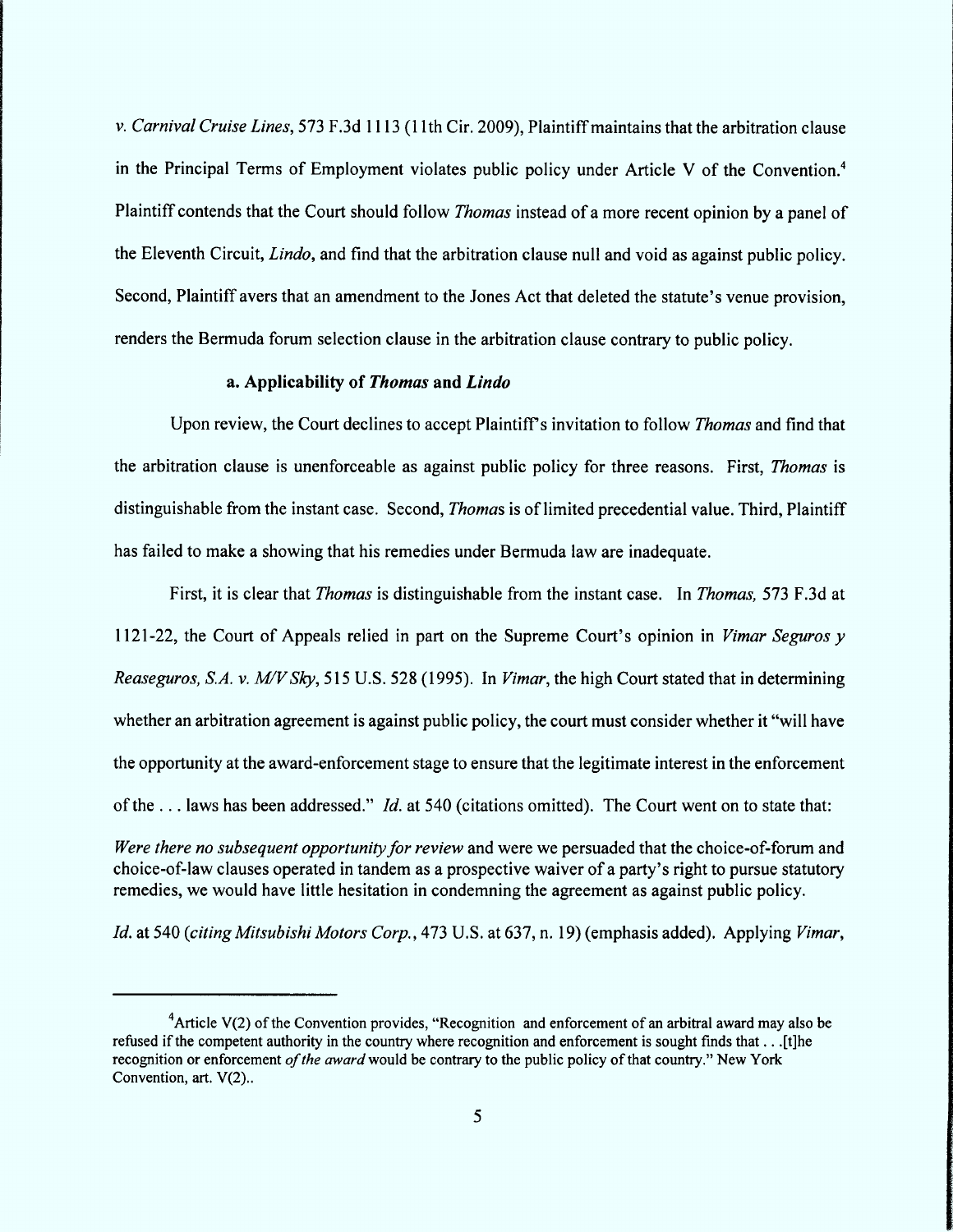v. Carnival Cruise Lines, 573 F.3d 1113 (11th Cir. 2009), Plaintiff maintains that the arbitration clause in the Principal Terms of Employment violates public policy under Article V of the Convention.<sup>4</sup> Plaintiff contends that the Court should follow *Thomas* instead of a more recent opinion by a panel of the Eleventh Circuit, Lindo, and find that the arbitration clause null and void as against public policy. Second, Plaintiff avers that an amendment to the Jones Act that deleted the statute's venue provision, renders the Bermuda forum selection clause in the arbitration clause contrary to public policy.

#### a. Applicability of Thomas and Lindo

Upon review, the Court declines to accept Plaintiff's invitation to follow *Thomas* and find that the arbitration clause is unenforceable as against public policy for three reasons. First, *Thomas* is distinguishable from the instant case. Second, *Thomas* is of limited precedential value. Third, Plaintiff has failed to make a showing that his remedies under Bermuda law are inadequate.

First, it is clear that *Thomas* is distinguishable from the instant case. In *Thomas*, 573 F.3d at 1121-22, the Court of Appeals relied in part on the Supreme Court's opinion in *Vimar Seguros*  $\nu$ *Reaseguros, S.A. v. M/V Skv.* 515 U.S. 528 (1995). In *Vimar*, the high Court stated that in determining whether an arbitration agreement is against public policy, the court must consider whether it "will have the opportunity at the award-enforcement stage to ensure that the legitimate interest in the enforcement of the ... laws has been addressed." *Id.* at 540 (citations omitted). The Court went on to state that:

Were there no subsequent opportunity for review and were we persuaded that the choice-of-forum and choice-of-law clauses operated in tandem as a prospective waiver of a party's right to pursue statutory remedies, we would have little hesitation in condemning the agreement as against public policy.

Id. at 540 (citing Mitsubishi Motors Corp., 473 U.S. at 637, n. 19) (emphasis added). Applying Vimar,

<sup>&</sup>lt;sup>4</sup> Article V(2) of the Convention provides, "Recognition and enforcement of an arbitral award may also be refused if the competent authority in the country where recognition and enforcement is sought finds that . . . [t]he recognition or enforcement of the award would be contrary to the public policy of that country." New York Convention, art. V(2)..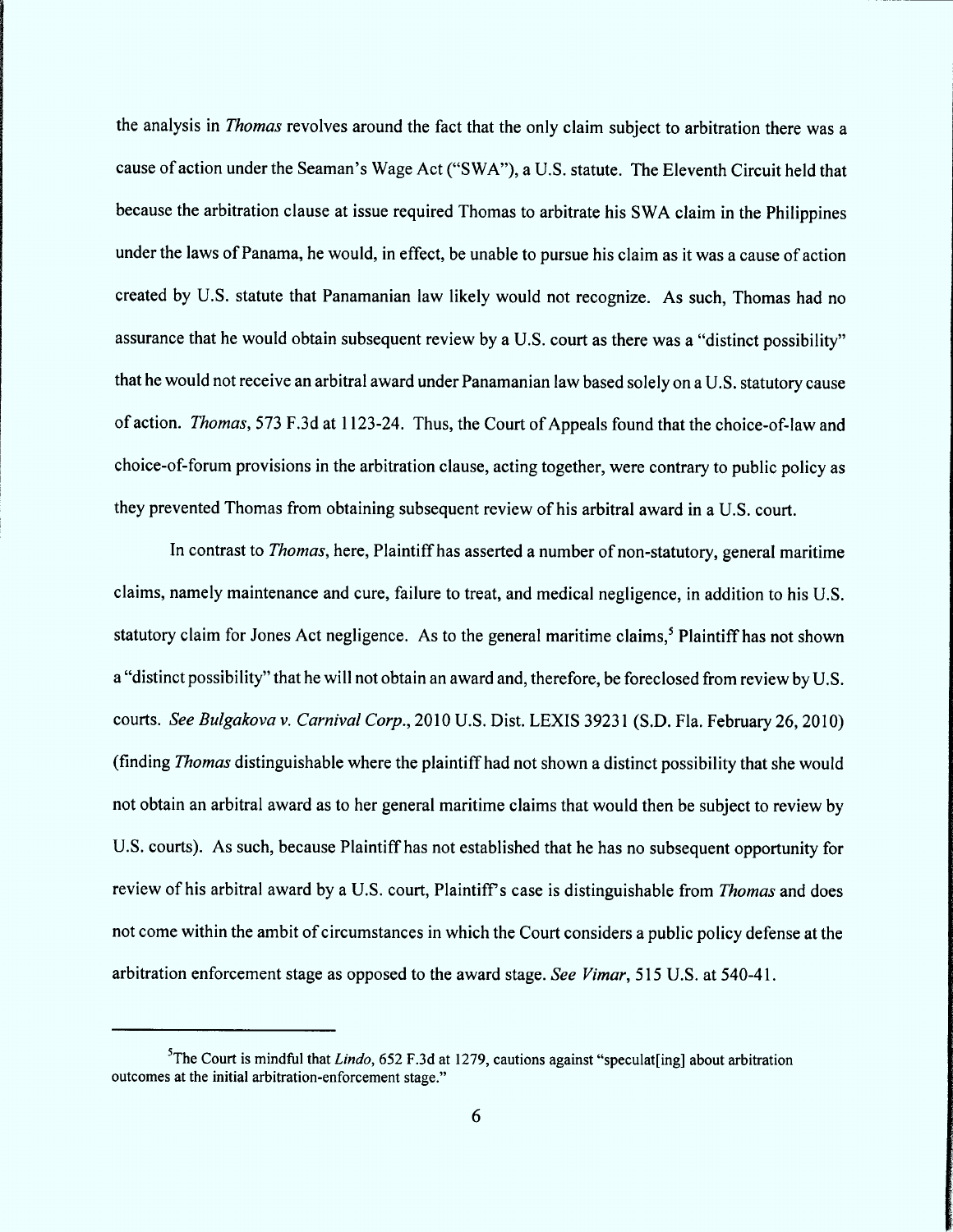the analysis in Thomas revolves around the fact that the only claim subject to arbitration there was a cause of action under the Seaman's Wage Act ("SWA"), a U.S. statute. The Eleventh Circuit held that because the arbitration clause at issue required Thomas to arbitrate his SWA claim in the Philippines under the laws of Panama, he would, in effect, be unable to pursue his claim as it was a cause of action created by U.S. statute that Panamanian law likely would not recognize. As such, Thomas had no assurance that he would obtain subsequent review by a U.S. court as there was a "distinct possibility" that he would not receive an arbitral award under Panamanian law based solely on a U.S. statutory cause of action. Thomas, 573 F.3d at 1123-24. Thus, the Court of Appeals found that the choice-of-law and choice-of-forum provisions in the arbitration clause, acting together, were contrary to public policy as they prevented Thomas from obtaining subsequent review of his arbitral award in a U.S. court.

In contrast to *Thomas*, here, Plaintiff has asserted a number of non-statutory, general maritime claims, namely maintenance and cure, failure to treat, and medical negligence, in addition to his U.S. statutory claim for Jones Act negligence. As to the general maritime claims,<sup>5</sup> Plaintiff has not shown a "distinct possibility" that he will not obtain an award and, therefore, be foreclosed from review by U.S. courts. See Bulgakova v. Carnival Corp., 2010 U.S. Dist. LEXIS 39231 (S.D. Fla. February 26, 2010) (finding Thomas distinguishable where the plaintiff had not shown a distinct possibility that she would not obtain an arbitral award as to her general maritime claims that would then be subject to review by U.S. courts). As such, because Plaintiff has not established that he has no subsequent opportunity for review of his arbitral award by a U.S. court, Plaintiff's case is distinguishable from Thomas and does not come within the ambit of circumstances in which the Court considers a public policy defense at the arbitration enforcement stage as opposed to the award stage. See Vimar, 515 U.S. at 540-41.

<sup>&</sup>lt;sup>5</sup>The Court is mindful that *Lindo*, 652 F.3d at 1279, cautions against "speculat [ing] about arbitration outcomes at the initial arbitration-enforcement stage.''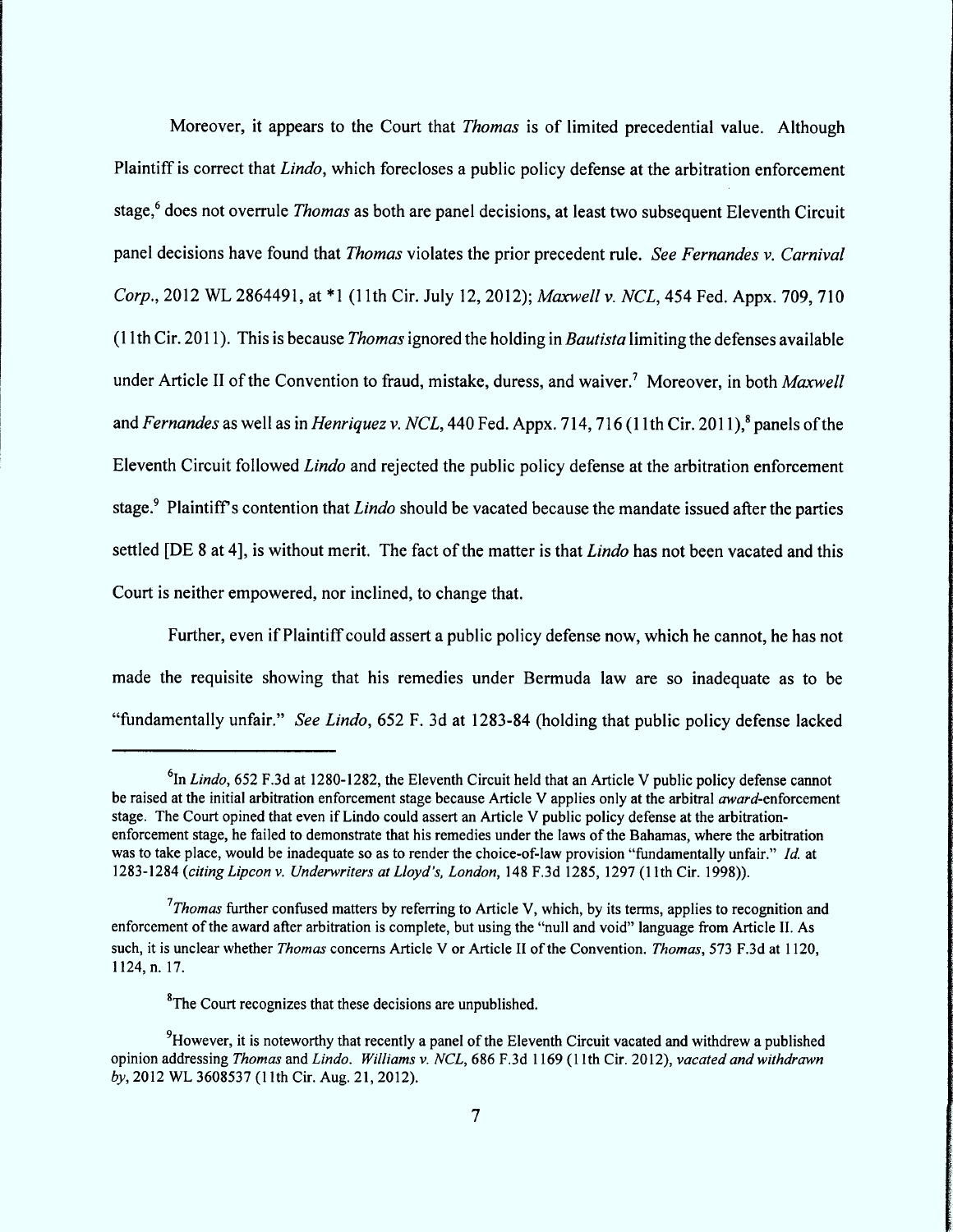Moreover, it appears to the Court that *Thomas* is of limited precedential value. Although Plaintiff is correct that *Lindo*, which forecloses a public policy defense at the arbitration enforcement stage,<sup>6</sup> does not overrule *Thomas* as both are panel decisions, at least two subsequent Eleventh Circuit panel decisions have found that Thomas violates the prior precedent rule. See Fernandes v. Carnival Corp., 2012 WL 2864491, at \*1 (11th Cir. July 12, 2012); Maxwell v. NCL, 454 Fed. Appx. 709, 710 (11th Cir. 2011). This is because *Thomas* ignored the holding in *Bautista* limiting the defenses available under Article II of the Convention to fraud, mistake, duress, and waiver.<sup>7</sup> Moreover, in both Maxwell and Fernandes as well as in Henriquez v. NCL, 440 Fed. Appx. 714, 716 (11th Cir. 2011),<sup>8</sup> panels of the Eleventh Circuit followed *Lindo* and rejected the public policy defense at the arbitration enforcement stage.<sup>9</sup> Plaintiff's contention that *Lindo* should be vacated because the mandate issued after the parties settled [DE 8 at 4], is without merit. The fact of the matter is that *Lindo* has not been vacated and this Court is neither empowered, nor inclined, to change that.

Further, even if Plaintiff could assert a public policy defense now, which he cannot, he has not made the requisite showing that his remedies under Bermuda law are so inadequate as to be "fundamentally unfair." See Lindo, 652 F. 3d at 1283-84 (holding that public policy defense lacked

<sup>8</sup>The Court recognizes that these decisions are unpublished.

 $^{6}$ In *Lindo*, 652 F.3d at 1280-1282, the Eleventh Circuit held that an Article V public policy defense cannot be raised at the initial arbitration enforcement stage because Article V applies only at the arbitral *award*-enforcement stage. The Court opined that even if Lindo could assert an Article V public policy defense at the arbitrationenforcement stage, he failed to demonstrate that his remedies under the laws of the Bahamas, where the arbitration was to take place, would be inadequate so as to render the choice-of-law provision "fundamentally unfair." Id. at 1283-1284 (citing Lipcon v. Underwriters at Lloyd's, London, 148 F.3d 1285, 1297 (11th Cir. 1998)).

 $17$  homas further confused matters by referring to Article V, which, by its terms, applies to recognition and enforcement of the award after arbitration is complete, but using the "null and void" language from Article II. As such, it is unclear whether Thomas concerns Article V or Article II of the Convention. Thomas, 573 F.3d at 1120, 1 124, n. 17.

 $9$ However, it is noteworthy that recently a panel of the Eleventh Circuit vacated and withdrew a published opinion addressing Thomas and Lindo. Williams v. NCL, 686 F.3d 1169 (11th Cir. 2012), vacated and withdrawn by, 2012 WL 3608537 (11th Cir. Aug. 21, 2012).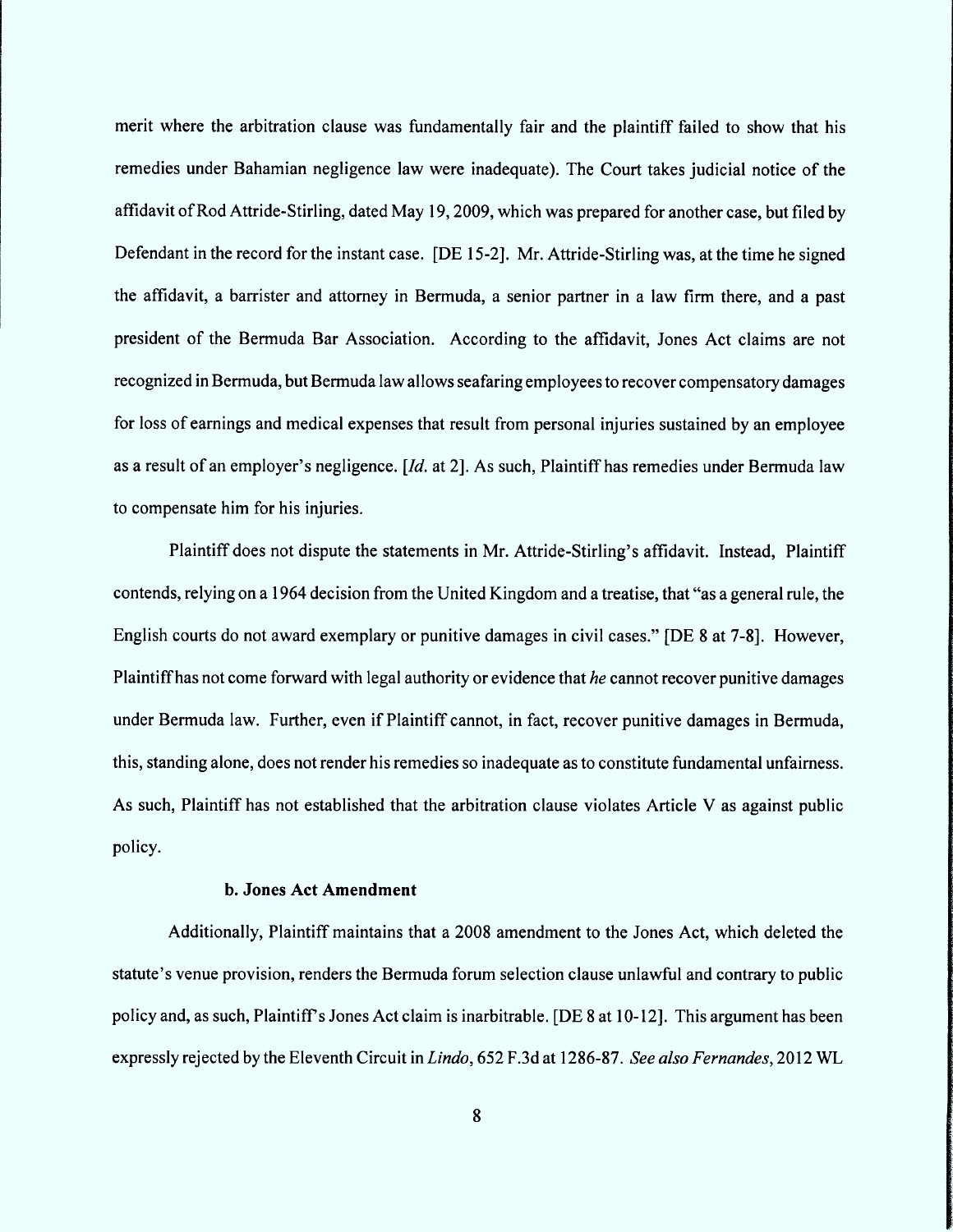merit where the arbitration clause was fundamentally fair and the plaintiff failed to show that his remedies under Bahamian negligence law were inadequate). The Court takes judicial notice of the affidavit of Rod Attride-Stirling, dated May 19, 2009, which was prepared for another case, but filed by Defendant in the record for the instant case. [DE 15-2]. Mr. Attride-Stirling was, at the time he signed the affidavit, a barrister and attorney in Bermuda, a senior partner in a law firm there, and a past president of the Bermuda Bar Association. According to the affidavit, Jones Act claims are not recognized in Bermuda, but Bermuda law allows seafaring employees to recover compensatory damages for loss of earnings and medical expenses that result from personal injuries sustained by an employee as a result of an employer's negligence.  $Id$ . at 2. As such, Plaintiff has remedies under Bermuda law to compensate him for his injuries.

Plaintiff does not dispute the statements in Mr. Attride-Stirling's affidavit. Instead, Plaintiff contends, relying on a 1964 decision from the United Kingdom and a treatise, that "as a general rule, the English courts do not award exemplary or punitive damages in civil cases.'' (DE 8 at 7-81. However, Plaintiff has not come forward with legal authority or evidence that he cannot recover punitive damages under Bermuda law. Further, even if Plaintiff cannot, in fact, recover punitive damages in Bermuda, this, standing alone, does not render his remedies so inadequate as to constitute fundamental unfairness. As such, Plaintiff has not established that the arbitration clause violates Article V as against public policy.

## b. Jones Act Amendment

Additionally, Plaintiff maintains that a 2008 amendment to the Jones Act, which deleted the statute's venue provision, renders the Bermuda forum selection clause unlawful and contrary to public policy and, as such, Plaintiff's Jones Act claim is inarbitrable. [DE 8 at 10-12]. This argument has been expressly rejected by the Eleventh Circuit in Lindo, 652 F.3d at 1286-87. See also Fernandes, 2012 WL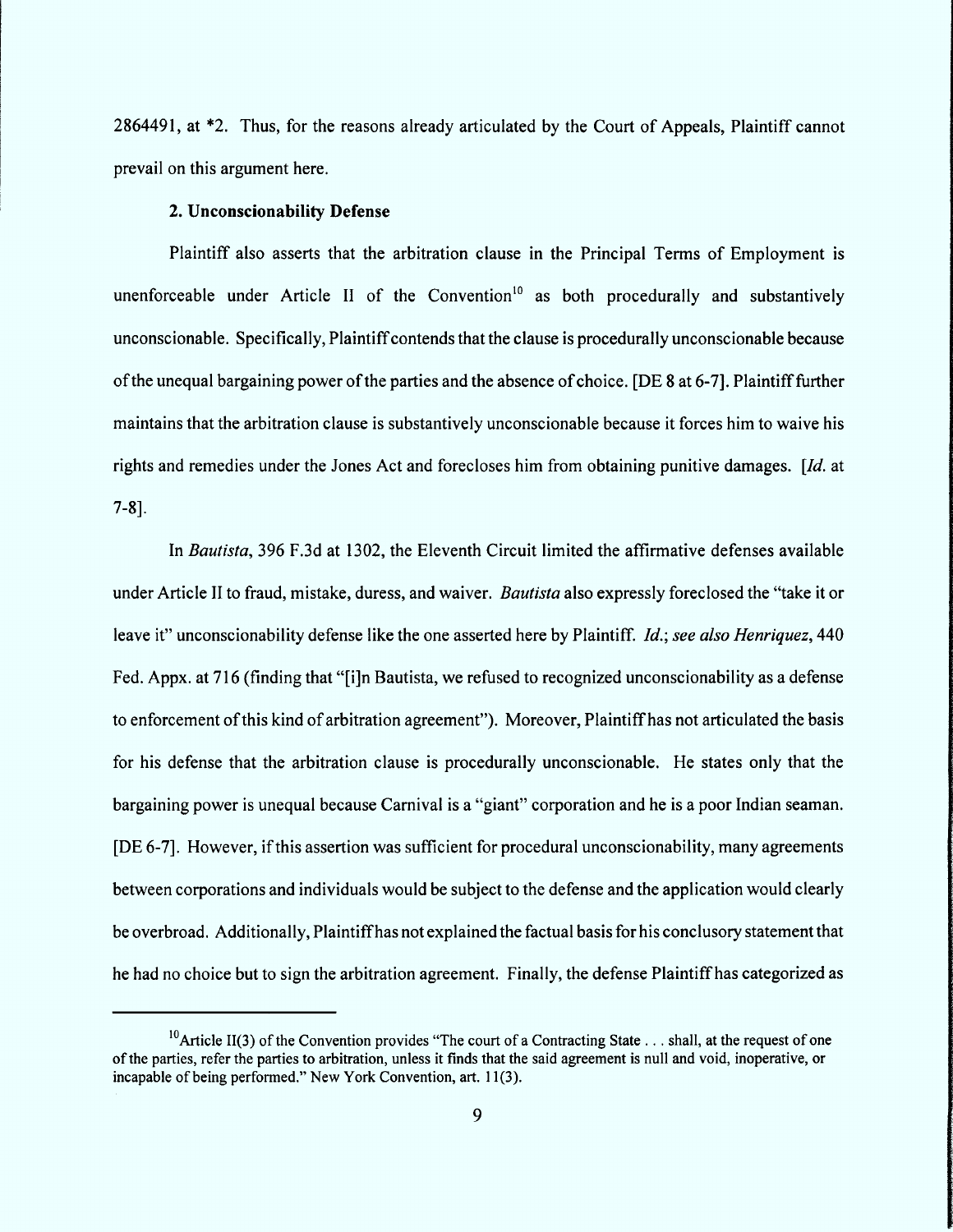2864491, at \*2. Thus, for the reasons already articulated by the Court of Appeals, Plaintiff cannot prevail on this argument here.

## 2. Unconscionability Defense

Plaintiff also asserts that the arbitration clause in the Principal Terms of Employment is unenforceable under Article II of the Convention<sup>10</sup> as both procedurally and substantively unconscionable. Specifically, Plaintiff contends that the clause is procedurally unconscionable because of the unequal bargaining power of the parties and the absence of choice. (DE 8 at 6-71. Plaintifffurther maintains that the arbitration clause is substantively unconscionable because it forces him to waive his rights and remedies under the Jones Act and forecloses him from obtaining punitive damages.  $\left[Id\right]$  at 7-81.

In Bautista, 396 F.3d at 1302, the Eleventh Circuit limited the affirmative defenses available under Article II to fraud, mistake, duress, and waiver. Bautista also expressly foreclosed the "take it or leave it" unconscionability defense like the one asserted here by Plaintiff. Id.; see also Henriquez, 440 Fed. Appx. at 716 (finding that "[i]n Bautista, we refused to recognized unconscionability as a defense to enforcement of this kind of arbitration agreement"). Moreover, Plaintiff has not articulated the basis for his defense that the arbitration clause is procedurally unconscionable. He states only that the bargaining power is unequal because Carnival is a "giant" corporation and he is a poor Indian seaman. [DE 6-7]. However, if this assertion was sufficient for procedural unconscionability, many agreements between corporations and individuals would be subject to the defense and the application would clearly be overbroad. Additionally, Plaintiff has not explained the factual basis for his conclusory statement that he had no choice but to sign the arbitration agreement. Finally, the defense Plaintiffhas categorized as

<sup>&</sup>lt;sup>10</sup> Article II(3) of the Convention provides "The court of a Contracting State . . . shall, at the request of one of the parties, refer the parties to arbitration, unless it finds that the said agreement is null and void, inoperative, or incapable of being performed." New York Convention, art. 11(3).